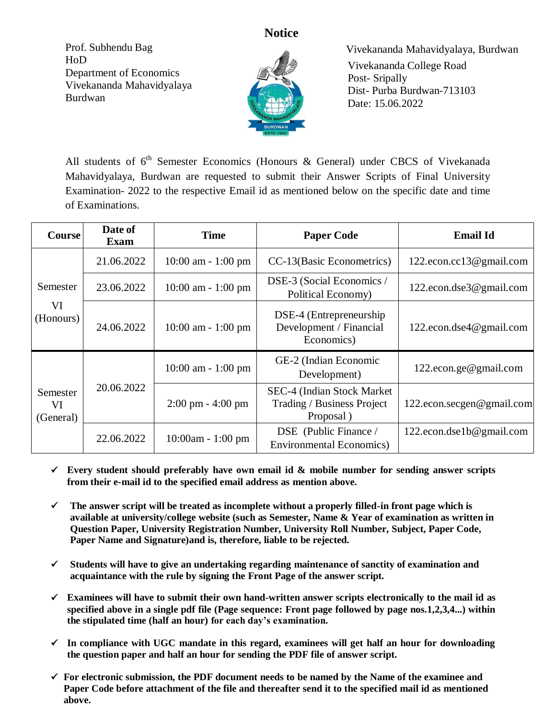**Notice**

Prof. Subhendu Bag HoD Department of Economics Vivekananda Mahavidyalaya Burdwan



 Vivekananda Mahavidyalaya, Burdwan Vivekananda College Road Post- Sripally Dist- Purba Burdwan-713103 Date: 15.06.2022

All students of 6<sup>th</sup> Semester Economics (Honours & General) under CBCS of Vivekanada Mahavidyalaya, Burdwan are requested to submit their Answer Scripts of Final University Examination- 2022 to the respective Email id as mentioned below on the specific date and time of Examinations.

| <b>Course</b>               | Date of<br><b>Exam</b> | <b>Time</b>                         | <b>Paper Code</b>                                                     | <b>Email Id</b>           |
|-----------------------------|------------------------|-------------------------------------|-----------------------------------------------------------------------|---------------------------|
| Semester<br>VI<br>(Honours) | 21.06.2022             | $10:00$ am $-1:00$ pm               | CC-13(Basic Econometrics)                                             | 122.econ.cc13@gmail.com   |
|                             | 23.06.2022             | $10:00$ am - 1:00 pm                | DSE-3 (Social Economics /<br>Political Economy)                       | 122.econ.dse3@gmail.com   |
|                             | 24.06.2022             | $10:00$ am $-1:00$ pm               | DSE-4 (Entrepreneurship)<br>Development / Financial<br>Economics)     | 122.econ.dse4@gmail.com   |
| Semester<br>VI<br>(General) | 20.06.2022             | $10:00$ am - 1:00 pm                | GE-2 (Indian Economic<br>Development)                                 | 122.econ.ge@gmail.com     |
|                             |                        | $2:00 \text{ pm} - 4:00 \text{ pm}$ | SEC-4 (Indian Stock Market<br>Trading / Business Project<br>Proposal) | 122.econ.secgen@gmail.com |
|                             | 22.06.2022             | $10:00am - 1:00 pm$                 | DSE (Public Finance /<br><b>Environmental Economics</b> )             | 122.econ.dse1b@gmail.com  |

- $\checkmark$  Every student should preferably have own email id  $\&$  mobile number for sending answer scripts **from their e-mail id to the specified email address as mention above.**
- **The answer script will be treated as incomplete without a properly filled-in front page which is available at university/college website (such as Semester, Name & Year of examination as written in Question Paper, University Registration Number, University Roll Number, Subject, Paper Code, Paper Name and Signature)and is, therefore, liable to be rejected.**
- **Students will have to give an undertaking regarding maintenance of sanctity of examination and acquaintance with the rule by signing the Front Page of the answer script.**
- **Examinees will have to submit their own hand-written answer scripts electronically to the mail id as specified above in a single pdf file (Page sequence: Front page followed by page nos.1,2,3,4...) within the stipulated time (half an hour) for each day's examination.**
- $\checkmark$  In compliance with UGC mandate in this regard, examinees will get half an hour for downloading **the question paper and half an hour for sending the PDF file of answer script.**
- **For electronic submission, the PDF document needs to be named by the Name of the examinee and Paper Code before attachment of the file and thereafter send it to the specified mail id as mentioned above.**